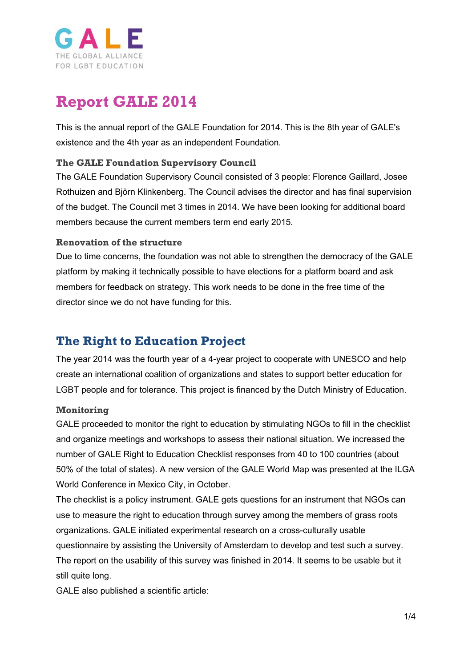

# **Report GALE 2014**

This is the annual report of the GALE Foundation for 2014. This is the 8th year of GALE's existence and the 4th year as an independent Foundation.

### **The GALE Foundation Supervisory Council**

The GALE Foundation Supervisory Council consisted of 3 people: Florence Gaillard, Josee Rothuizen and Björn Klinkenberg. The Council advises the director and has final supervision of the budget. The Council met 3 times in 2014. We have been looking for additional board members because the current members term end early 2015.

#### **Renovation of the structure**

Due to time concerns, the foundation was not able to strengthen the democracy of the GALE platform by making it technically possible to have elections for a platform board and ask members for feedback on strategy. This work needs to be done in the free time of the director since we do not have funding for this.

### **The Right to Education Project**

The year 2014 was the fourth year of a 4-year project to cooperate with UNESCO and help create an international coalition of organizations and states to support better education for LGBT people and for tolerance. This project is financed by the Dutch Ministry of Education.

### **Monitoring**

GALE proceeded to monitor the right to education by stimulating NGOs to fill in the checklist and organize meetings and workshops to assess their national situation. We increased the number of GALE Right to Education Checklist responses from 40 to 100 countries (about 50% of the total of states). A new version of the GALE World Map was presented at the ILGA World Conference in Mexico City, in October.

The checklist is a policy instrument. GALE gets questions for an instrument that NGOs can use to measure the right to education through survey among the members of grass roots organizations. GALE initiated experimental research on a cross-culturally usable questionnaire by assisting the University of Amsterdam to develop and test such a survey. The report on the usability of this survey was finished in 2014. It seems to be usable but it still quite long.

GALE also published a scientific article: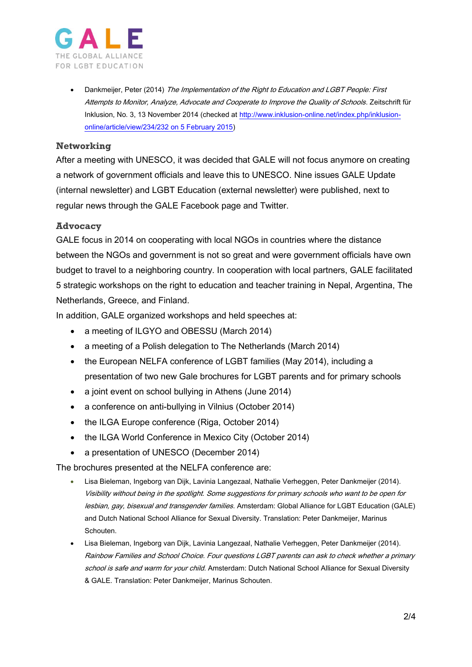

Dankmeijer, Peter (2014) The Implementation of the Right to Education and LGBT People: First Attempts to Monitor, Analyze, Advocate and Cooperate to Improve the Quality of Schools. Zeitschrift für Inklusion, No. 3, 13 November 2014 (checked at [http://www.inklusion-online.net/index.php/inklusion](http://www.inklusion-online.net/index.php/inklusion-online/article/view/234/232%20on%205%20February%202015)[online/article/view/234/232 on 5 February 2015\)](http://www.inklusion-online.net/index.php/inklusion-online/article/view/234/232%20on%205%20February%202015)

### **Networking**

After a meeting with UNESCO, it was decided that GALE will not focus anymore on creating a network of government officials and leave this to UNESCO. Nine issues GALE Update (internal newsletter) and LGBT Education (external newsletter) were published, next to regular news through the GALE Facebook page and Twitter.

#### **Advocacy**

GALE focus in 2014 on cooperating with local NGOs in countries where the distance between the NGOs and government is not so great and were government officials have own budget to travel to a neighboring country. In cooperation with local partners, GALE facilitated 5 strategic workshops on the right to education and teacher training in Nepal, Argentina, The Netherlands, Greece, and Finland.

In addition, GALE organized workshops and held speeches at:

- a meeting of ILGYO and OBESSU (March 2014)
- a meeting of a Polish delegation to The Netherlands (March 2014)
- the European NELFA conference of LGBT families (May 2014), including a presentation of two new Gale brochures for LGBT parents and for primary schools
- a joint event on school bullying in Athens (June 2014)
- a conference on anti-bullying in Vilnius (October 2014)
- the ILGA Europe conference (Riga, October 2014)
- the ILGA World Conference in Mexico City (October 2014)
- a presentation of UNESCO (December 2014)

The brochures presented at the NELFA conference are:

- Lisa Bieleman, Ingeborg van Dijk, Lavinia Langezaal, Nathalie Verheggen, Peter Dankmeijer (2014). Visibility without being in the spotlight. Some suggestions for primary schools who want to be open for lesbian, gay, bisexual and transgender families. Amsterdam: Global Alliance for LGBT Education (GALE) and Dutch National School Alliance for Sexual Diversity. Translation: Peter Dankmeijer, Marinus Schouten.
- Lisa Bieleman, Ingeborg van Dijk, Lavinia Langezaal, Nathalie Verheggen, Peter Dankmeijer (2014). Rainbow Families and School Choice. Four questions LGBT parents can ask to check whether a primary school is safe and warm for your child. Amsterdam: Dutch National School Alliance for Sexual Diversity & GALE. Translation: Peter Dankmeijer, Marinus Schouten.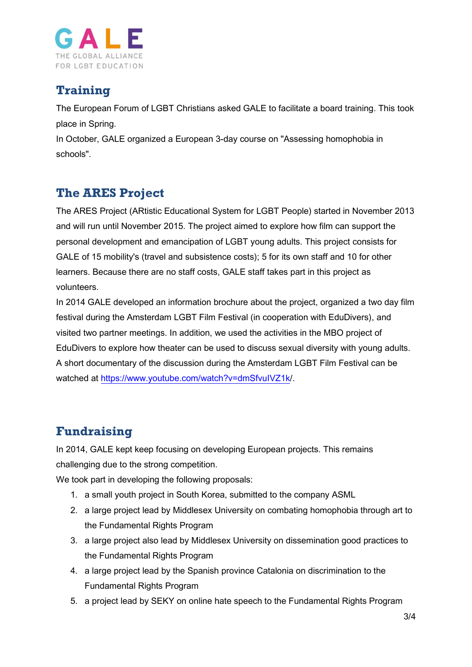

### **Training**

The European Forum of LGBT Christians asked GALE to facilitate a board training. This took place in Spring.

In October, GALE organized a European 3-day course on "Assessing homophobia in schools".

# **The ARES Project**

The ARES Project (ARtistic Educational System for LGBT People) started in November 2013 and will run until November 2015. The project aimed to explore how film can support the personal development and emancipation of LGBT young adults. This project consists for GALE of 15 mobility's (travel and subsistence costs); 5 for its own staff and 10 for other learners. Because there are no staff costs, GALE staff takes part in this project as volunteers.

In 2014 GALE developed an information brochure about the project, organized a two day film festival during the Amsterdam LGBT Film Festival (in cooperation with EduDivers), and visited two partner meetings. In addition, we used the activities in the MBO project of EduDivers to explore how theater can be used to discuss sexual diversity with young adults. A short documentary of the discussion during the Amsterdam LGBT Film Festival can be watched at [https://www.youtube.com/watch?v=dmSfvuIVZ1k/](https://www.youtube.com/watch?v=dmSfvuIVZ1k).

# **Fundraising**

In 2014, GALE kept keep focusing on developing European projects. This remains challenging due to the strong competition.

We took part in developing the following proposals:

- 1. a small youth project in South Korea, submitted to the company ASML
- 2. a large project lead by Middlesex University on combating homophobia through art to the Fundamental Rights Program
- 3. a large project also lead by Middlesex University on dissemination good practices to the Fundamental Rights Program
- 4. a large project lead by the Spanish province Catalonia on discrimination to the Fundamental Rights Program
- 5. a project lead by SEKY on online hate speech to the Fundamental Rights Program